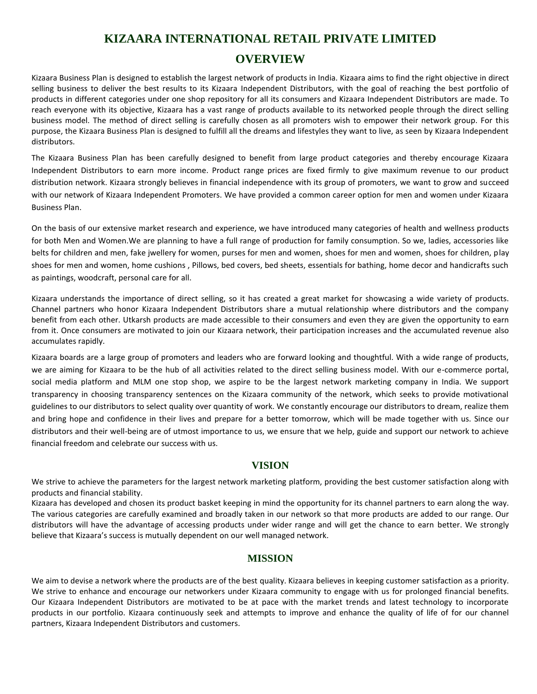# **KIZAARA INTERNATIONAL RETAIL PRIVATE LIMITED OVERVIEW**

Kizaara Business Plan is designed to establish the largest network of products in India. Kizaara aims to find the right objective in direct selling business to deliver the best results to its Kizaara Independent Distributors, with the goal of reaching the best portfolio of products in different categories under one shop repository for all its consumers and Kizaara Independent Distributors are made. To reach everyone with its objective, Kizaara has a vast range of products available to its networked people through the direct selling business model. The method of direct selling is carefully chosen as all promoters wish to empower their network group. For this purpose, the Kizaara Business Plan is designed to fulfill all the dreams and lifestyles they want to live, as seen by Kizaara Independent distributors.

The Kizaara Business Plan has been carefully designed to benefit from large product categories and thereby encourage Kizaara Independent Distributors to earn more income. Product range prices are fixed firmly to give maximum revenue to our product distribution network. Kizaara strongly believes in financial independence with its group of promoters, we want to grow and succeed with our network of Kizaara Independent Promoters. We have provided a common career option for men and women under Kizaara Business Plan.

On the basis of our extensive market research and experience, we have introduced many categories of health and wellness products for both Men and Women.We are planning to have a full range of production for family consumption. So we, ladies, accessories like belts for children and men, fake jwellery for women, purses for men and women, shoes for men and women, shoes for children, play shoes for men and women, home cushions , Pillows, bed covers, bed sheets, essentials for bathing, home decor and handicrafts such as paintings, woodcraft, personal care for all.

Kizaara understands the importance of direct selling, so it has created a great market for showcasing a wide variety of products. Channel partners who honor Kizaara Independent Distributors share a mutual relationship where distributors and the company benefit from each other. Utkarsh products are made accessible to their consumers and even they are given the opportunity to earn from it. Once consumers are motivated to join our Kizaara network, their participation increases and the accumulated revenue also accumulates rapidly.

Kizaara boards are a large group of promoters and leaders who are forward looking and thoughtful. With a wide range of products, we are aiming for Kizaara to be the hub of all activities related to the direct selling business model. With our e-commerce portal, social media platform and MLM one stop shop, we aspire to be the largest network marketing company in India. We support transparency in choosing transparency sentences on the Kizaara community of the network, which seeks to provide motivational guidelines to our distributors to select quality over quantity of work. We constantly encourage our distributors to dream, realize them and bring hope and confidence in their lives and prepare for a better tomorrow, which will be made together with us. Since our distributors and their well-being are of utmost importance to us, we ensure that we help, guide and support our network to achieve financial freedom and celebrate our success with us.

## **VISION**

We strive to achieve the parameters for the largest network marketing platform, providing the best customer satisfaction along with products and financial stability.

Kizaara has developed and chosen its product basket keeping in mind the opportunity for its channel partners to earn along the way. The various categories are carefully examined and broadly taken in our network so that more products are added to our range. Our distributors will have the advantage of accessing products under wider range and will get the chance to earn better. We strongly believe that Kizaara's success is mutually dependent on our well managed network.

## **MISSION**

We aim to devise a network where the products are of the best quality. Kizaara believes in keeping customer satisfaction as a priority. We strive to enhance and encourage our networkers under Kizaara community to engage with us for prolonged financial benefits. Our Kizaara Independent Distributors are motivated to be at pace with the market trends and latest technology to incorporate products in our portfolio. Kizaara continuously seek and attempts to improve and enhance the quality of life of for our channel partners, Kizaara Independent Distributors and customers.